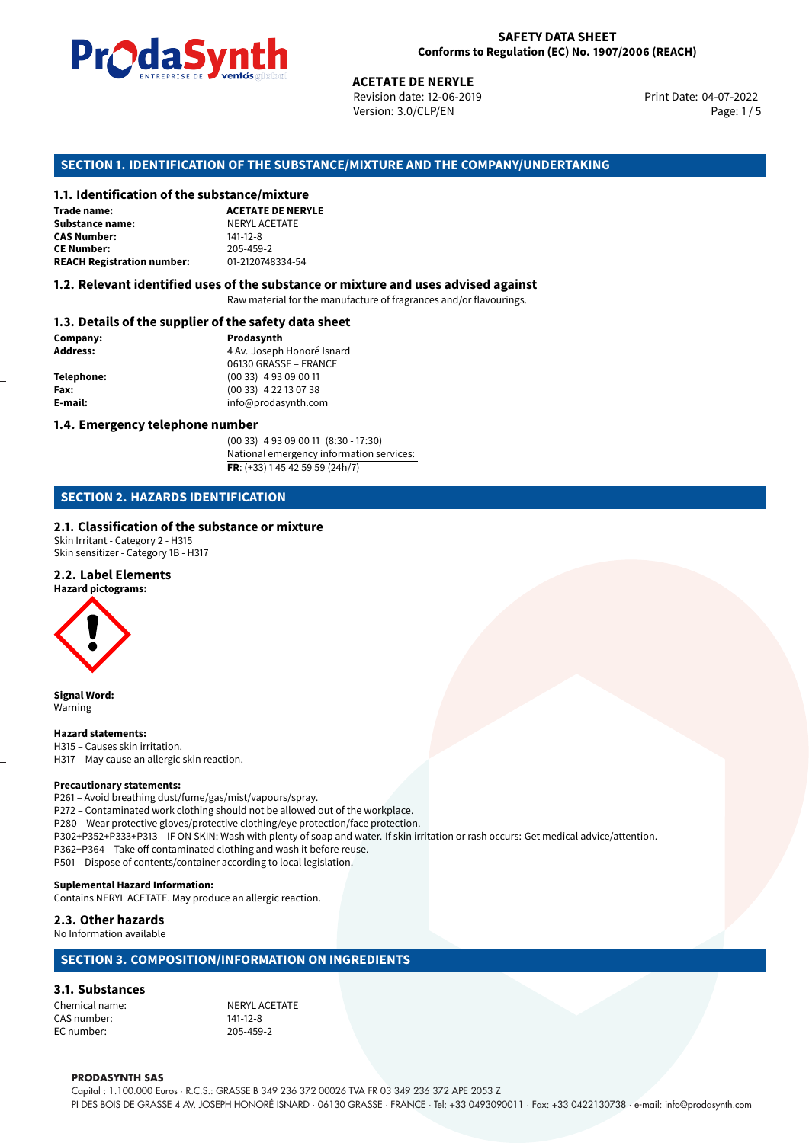

Revision date: 12-06-2019 Version: 3.0/CLP/EN Page: 1/5

Print Date: 04-07-2022

# **ACETATE DE NERYLE<br>
Revision date: 12-06-201<br>
Version: 3.0/CLP/EN<br>
<b>OF THE SUBSTANCE/MIXTURE AND THE CO<br>
tance/mixture<br>
ACETATE DE NERYLE SECTION 1. IDENTIFICATION OF THE SUBSTANCE/MIXTURE AND THE COMPANY/UNDERTAKING**

#### **1.1. Identification of the substance/mixture**

| Trade name:                       | <b>ACETATE DE NE</b> |
|-----------------------------------|----------------------|
| Substance name:                   | <b>NERYL ACETATE</b> |
| <b>CAS Number:</b>                | $141 - 12 - 8$       |
| <b>CE Number:</b>                 | 205-459-2            |
| <b>REACH Registration number:</b> | 01-2120748334-       |

**REACH Registration number:** 01-2120748334-54

#### **1.2. Relevant identified uses of the substance or mixture and uses advised against**

Raw material for the manufacture of fragrances and/or flavourings.

#### **1.3. Details of the supplier of the safety data sheet**

| Company:   | Prodasynth                 |
|------------|----------------------------|
| Address:   | 4 Av. Joseph Honoré Isnard |
|            | 06130 GRASSE - FRANCE      |
| Telephone: | $(0033)$ 4 93 09 00 11     |
| Fax:       | $(0033)$ 4 22 13 07 38     |
| E-mail:    | info@prodasynth.com        |
|            |                            |

#### **1.4. Emergency telephone number**

(00 33) 4 93 09 00 11 (8:30 - 17:30) National emergency information services: **FR**: (+33) 1 45 42 59 59 (24h/7)

#### **SECTION 2. HAZARDS IDENTIFICATION**

#### **2.1. Classification of the substance or mixture**

Skin Irritant - Category 2 - H315 Skin sensitizer - Category 1B - H317

#### **2.2. Label Elements**

**Hazard pictograms:**



**Signal Word:** Warning

**Hazard statements:** H315 – Causes skin irritation. H317 – May cause an allergic skin reaction.

#### **Precautionary statements:**

P261 – Avoid breathing dust/fume/gas/mist/vapours/spray. P272 – Contaminated work clothing should not be allowed out of the workplace. P280 – Wear protective gloves/protective clothing/eye protection/face protection. P302+P352+P333+P313 – IF ON SKIN: Wash with plenty of soap and water. If skin irritation or rash occurs: Get medical advice/attention. P362+P364 – Take off contaminated clothing and wash it before reuse. P501 – Dispose of contents/container according to local legislation.

#### **Suplemental Hazard Information:**

Contains NERYL ACETATE. May produce an allergic reaction.

#### **2.3. Other hazards**

No Information available

#### **SECTION 3. COMPOSITION/INFORMATION ON INGREDIENTS**

#### **3.1. Substances**

Chemical name:<br>
CAS number:<br>
CAS number: 
141-12-8 CAS number: EC number: 205-459-2

#### **PRODASYNTH SAS**

Capital : 1.100.000 Euros · R.C.S.: GRASSE B 349 236 372 00026 TVA FR 03 349 236 372 APE 2053 Z PI DES BOIS DE GRASSE 4 AV. JOSEPH HONORÉ ISNARD · 06130 GRASSE · FRANCE · Tel: +33 0493090011 · Fax: +33 0422130738 · e-mail: info@prodasynth.com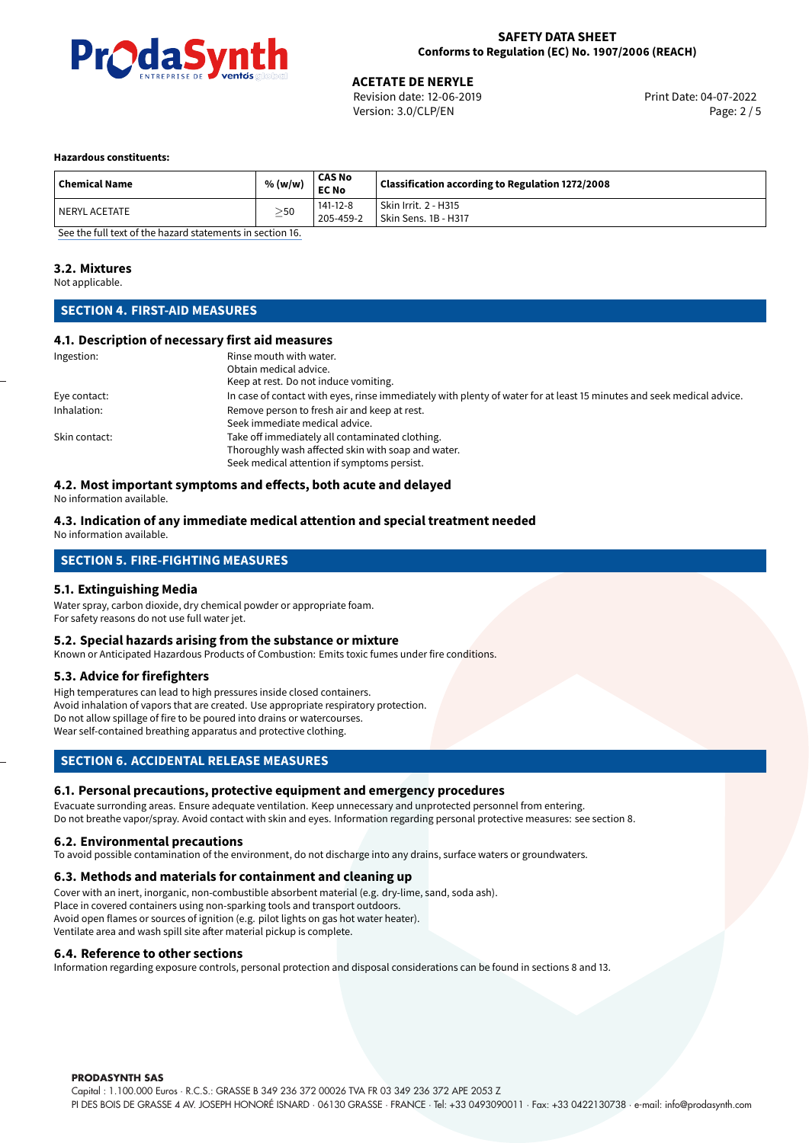

# **ACETATE DE NERYLE**<br>
Revision date: 12-06-2019<br> **Aces 2019**<br> **Aces 2019**<br> **Aces 2019**

Revision date: 12-06-2019 Version: 3.0/CLP/EN Page: 2 / 5

#### **Hazardous constituents:**

| <b>Chemical Name</b> | % (w/w)   | <b>CAS No</b><br><b>EC No</b> | Classification according to Regulation 1272/2008 |
|----------------------|-----------|-------------------------------|--------------------------------------------------|
| l NERYL ACETATE      | $\geq$ 50 | $141 - 12 - 8$<br>205-459-2   | Skin Irrit. 2 - H315<br>Skin Sens. 1B - H317     |

[See the full text of the hazard statements in section 16.](#page-4-0)

#### **3.2. Mixtures**

Not applicable.

#### **SECTION 4. FIRST-AID MEASURES**

#### **4.1. Description of necessary first aid measures**

| Ingestion:    | Rinse mouth with water.<br>Obtain medical advice.<br>Keep at rest. Do not induce vomiting.                                                           |
|---------------|------------------------------------------------------------------------------------------------------------------------------------------------------|
| Eye contact:  | In case of contact with eyes, rinse immediately with plenty of water for at least 15 minutes and seek medical advice.                                |
| Inhalation:   | Remove person to fresh air and keep at rest.<br>Seek immediate medical advice.                                                                       |
| Skin contact: | Take off immediately all contaminated clothing.<br>Thoroughly wash affected skin with soap and water.<br>Seek medical attention if symptoms persist. |

#### **4.2. Most important symptoms and effects, both acute and delayed**

No information available.

#### **4.3. Indication of any immediate medical attention and special treatment needed** No information available.

## **SECTION 5. FIRE-FIGHTING MEASURES**

#### **5.1. Extinguishing Media**

Water spray, carbon dioxide, dry chemical powder or appropriate foam. For safety reasons do not use full water jet.

#### **5.2. Special hazards arising from the substance or mixture**

Known or Anticipated Hazardous Products of Combustion: Emits toxic fumes under fire conditions.

#### **5.3. Advice for firefighters**

High temperatures can lead to high pressures inside closed containers. Avoid inhalation of vapors that are created. Use appropriate respiratory protection. Do not allow spillage of fire to be poured into drains or watercourses. Wear self-contained breathing apparatus and protective clothing.

#### **SECTION 6. ACCIDENTAL RELEASE MEASURES**

#### **6.1. Personal precautions, protective equipment and emergency procedures**

Evacuate surronding areas. Ensure adequate ventilation. Keep unnecessary and unprotected personnel from entering. Do not breathe vapor/spray. Avoid contact with skin and eyes. Information regarding personal protective measures: see section 8.

#### **6.2. Environmental precautions**

To avoid possible contamination of the environment, do not discharge into any drains, surface waters or groundwaters.

#### **6.3. Methods and materials for containment and cleaning up**

Cover with an inert, inorganic, non-combustible absorbent material (e.g. dry-lime, sand, soda ash). Place in covered containers using non-sparking tools and transport outdoors. Avoid open flames or sources of ignition (e.g. pilot lights on gas hot water heater). Ventilate area and wash spill site after material pickup is complete.

#### **6.4. Reference to other sections**

Information regarding exposure controls, personal protection and disposal considerations can be found in sections 8 and 13.

#### **PRODASYNTH SAS**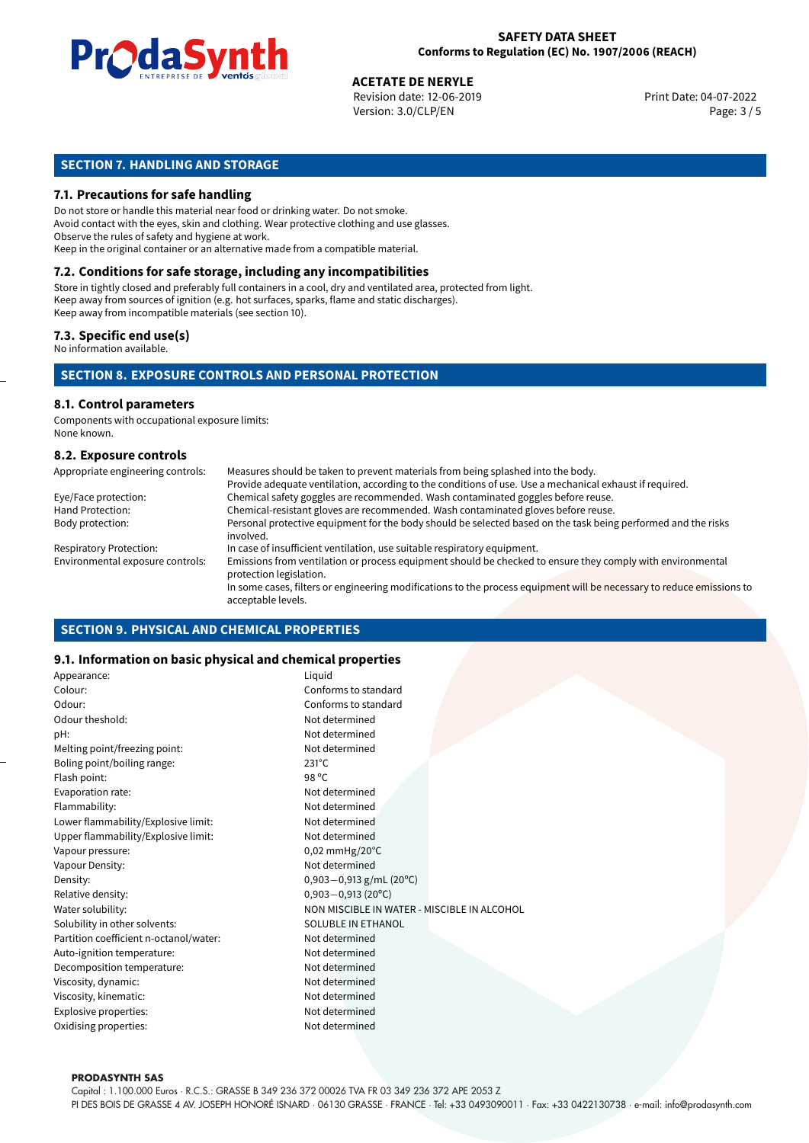

04-07-2022 **ACETATE DE NERYLE** Revision date: 12-06-2019 Print Date: Version: 3.0/CLP/EN Page: 3 / 5

#### **SECTION 7. HANDLING AND STORAGE**

#### **7.1. Precautions for safe handling**

Do not store or handle this material near food or drinking water. Do not smoke. Avoid contact with the eyes, skin and clothing. Wear protective clothing and use glasses. Observe the rules of safety and hygiene at work. Keep in the original container or an alternative made from a compatible material.

## **7.2. Conditions for safe storage, including any incompatibilities**

Store in tightly closed and preferably full containers in a cool, dry and ventilated area, protected from light. Keep away from sources of ignition (e.g. hot surfaces, sparks, flame and static discharges). Keep away from incompatible materials (see section 10).

#### **7.3. Specific end use(s)**

No information available.

#### **SECTION 8. EXPOSURE CONTROLS AND PERSONAL PROTECTION**

#### **8.1. Control parameters**

Components with occupational exposure limits: None known.

#### **8.2. Exposure controls**

| Appropriate engineering controls: | Measures should be taken to prevent materials from being splashed into the body.                                                            |
|-----------------------------------|---------------------------------------------------------------------------------------------------------------------------------------------|
|                                   | Provide adequate ventilation, according to the conditions of use. Use a mechanical exhaust if required.                                     |
| Eye/Face protection:              | Chemical safety goggles are recommended. Wash contaminated goggles before reuse.                                                            |
| Hand Protection:                  | Chemical-resistant gloves are recommended. Wash contaminated gloves before reuse.                                                           |
| Body protection:                  | Personal protective equipment for the body should be selected based on the task being performed and the risks<br>involved.                  |
| <b>Respiratory Protection:</b>    | In case of insufficient ventilation, use suitable respiratory equipment.                                                                    |
| Environmental exposure controls:  | Emissions from ventilation or process equipment should be checked to ensure they comply with environmental<br>protection legislation.       |
|                                   | In some cases, filters or engineering modifications to the process equipment will be necessary to reduce emissions to<br>acceptable levels. |

#### **SECTION 9. PHYSICAL AND CHEMICAL PROPERTIES**

#### **9.1. Information on basic physical and chemical properties**

| Appearance:                            | Liquid                                      |  |
|----------------------------------------|---------------------------------------------|--|
| Colour:                                | Conforms to standard                        |  |
| Odour:                                 | Conforms to standard                        |  |
| Odour theshold:                        | Not determined                              |  |
| pH:                                    | Not determined                              |  |
| Melting point/freezing point:          | Not determined                              |  |
| Boling point/boiling range:            | $231^{\circ}$ C                             |  |
| Flash point:                           | 98 °C                                       |  |
| Evaporation rate:                      | Not determined                              |  |
| Flammability:                          | Not determined                              |  |
| Lower flammability/Explosive limit:    | Not determined                              |  |
| Upper flammability/Explosive limit:    | Not determined                              |  |
| Vapour pressure:                       | $0.02$ mmHg/20 $^{\circ}$ C                 |  |
| Vapour Density:                        | Not determined                              |  |
| Density:                               | $0,903 - 0,913$ g/mL (20°C)                 |  |
| Relative density:                      | $0,903 - 0,913(20^{\circ}C)$                |  |
| Water solubility:                      | NON MISCIBLE IN WATER - MISCIBLE IN ALCOHOL |  |
| Solubility in other solvents:          | <b>SOLUBLE IN ETHANOL</b>                   |  |
| Partition coefficient n-octanol/water: | Not determined                              |  |
| Auto-ignition temperature:             | Not determined                              |  |
| Decomposition temperature:             | Not determined                              |  |
| Viscosity, dynamic:                    | Not determined                              |  |
| Viscosity, kinematic:                  | Not determined                              |  |
| Explosive properties:                  | Not determined                              |  |
| Oxidising properties:                  | Not determined                              |  |
|                                        |                                             |  |

#### **PRODASYNTH SAS**

Capital : 1.100.000 Euros · R.C.S.: GRASSE B 349 236 372 00026 TVA FR 03 349 236 372 APE 2053 Z PI DES BOIS DE GRASSE 4 AV. JOSEPH HONORÉ ISNARD · 06130 GRASSE · FRANCE · Tel: +33 0493090011 · Fax: +33 0422130738 · e-mail: info@prodasynth.com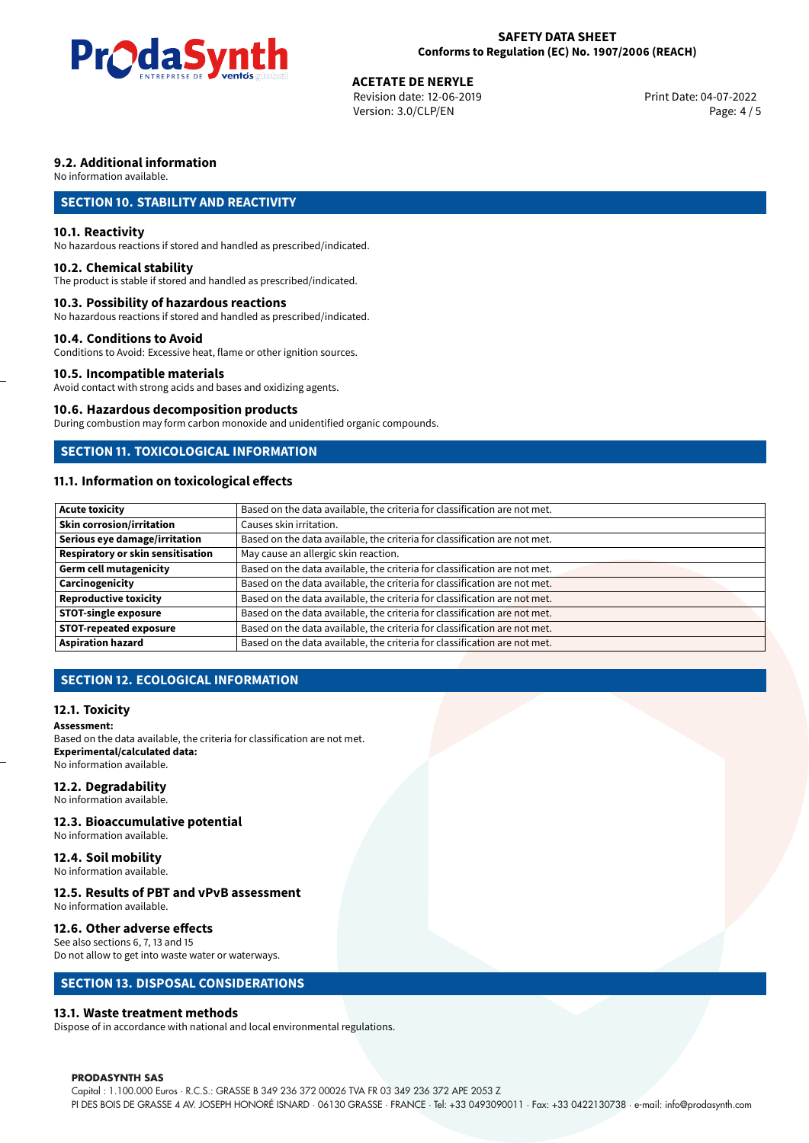

## **ACETATE DE NERYLE**<br>
Revision date: 12-06-2019<br> **Aces 2019**<br> **Aces 2019**<br> **Aces 2019**

Revision date: 12-06-2019 Version: 3.0/CLP/EN Page: 4 / 5

#### **9.2. Additional information**

No information available.

#### **SECTION 10. STABILITY AND REACTIVITY**

#### **10.1. Reactivity**

No hazardous reactions if stored and handled as prescribed/indicated.

#### **10.2. Chemical stability**

The product is stable if stored and handled as prescribed/indicated.

#### **10.3. Possibility of hazardous reactions**

No hazardous reactions if stored and handled as prescribed/indicated.

#### **10.4. Conditions to Avoid**

Conditions to Avoid: Excessive heat, flame or other ignition sources.

#### **10.5. Incompatible materials**

Avoid contact with strong acids and bases and oxidizing agents.

#### **10.6. Hazardous decomposition products**

During combustion may form carbon monoxide and unidentified organic compounds.

#### **SECTION 11. TOXICOLOGICAL INFORMATION**

#### **11.1. Information on toxicological effects**

| <b>Acute toxicity</b>             | Based on the data available, the criteria for classification are not met. |
|-----------------------------------|---------------------------------------------------------------------------|
| <b>Skin corrosion/irritation</b>  | Causes skin irritation.                                                   |
|                                   |                                                                           |
| Serious eye damage/irritation     | Based on the data available, the criteria for classification are not met. |
| Respiratory or skin sensitisation | May cause an allergic skin reaction.                                      |
| Germ cell mutagenicity            | Based on the data available, the criteria for classification are not met. |
| <b>Carcinogenicity</b>            | Based on the data available, the criteria for classification are not met. |
| Reproductive toxicity             | Based on the data available, the criteria for classification are not met. |
| <b>STOT-single exposure</b>       | Based on the data available, the criteria for classification are not met. |
| <b>STOT-repeated exposure</b>     | Based on the data available, the criteria for classification are not met. |
| <b>Aspiration hazard</b>          | Based on the data available, the criteria for classification are not met. |

#### **SECTION 12. ECOLOGICAL INFORMATION**

#### **12.1. Toxicity**

#### **Assessment:**

Based on the data available, the criteria for classification are not met. **Experimental/calculated data:** No information available.

#### **12.2. Degradability**

No information available.

#### **12.3. Bioaccumulative potential**

No information available.

#### **12.4. Soil mobility**

No information available.

## **12.5. Results of PBT and vPvB assessment**

No information available.

#### **12.6. Other adverse effects**

See also sections 6, 7, 13 and 15 Do not allow to get into waste water or waterways.

#### **SECTION 13. DISPOSAL CONSIDERATIONS**

#### **13.1. Waste treatment methods**

Dispose of in accordance with national and local environmental regulations.

#### **PRODASYNTH SAS**

Capital : 1.100.000 Euros · R.C.S.: GRASSE B 349 236 372 00026 TVA FR 03 349 236 372 APE 2053 Z PI DES BOIS DE GRASSE 4 AV. JOSEPH HONORÉ ISNARD · 06130 GRASSE · FRANCE · Tel: +33 0493090011 · Fax: +33 0422130738 · e-mail: info@prodasynth.com